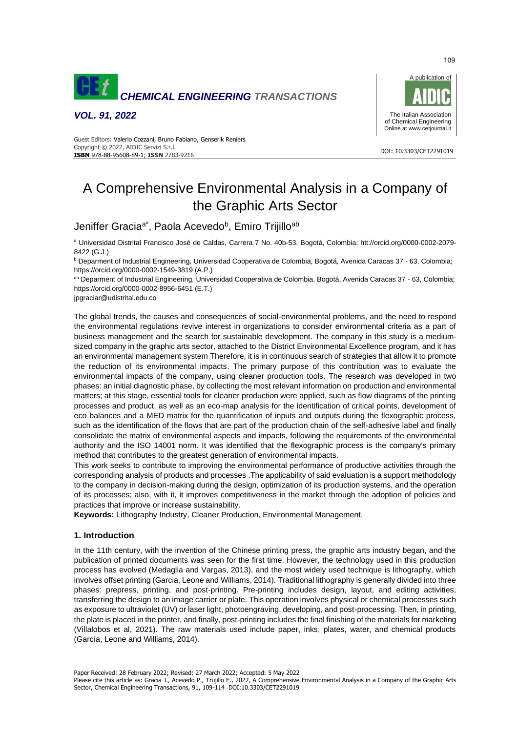

*VOL. 91, 2022*



#### DOI: 10.3303/CET2291019 **ISBN** 978-88-95608-89-1; **ISSN** 2283-9216 Guest Editors: Valerio Cozzani, Bruno Fabiano, Genserik Reniers Copyright © 2022, AIDIC Servizi S.r.l.

# A Comprehensive Environmental Analysis in a Company of the Graphic Arts Sector

Jeniffer Gracia<sup>a\*</sup>, Paola Acevedo<sup>b</sup>, Emiro Trijillo<sup>ab</sup>

<sup>a</sup> Universidad Distrital Francisco José de Caldas, Carrera 7 No. 40b-53, Bogotá, Colombi[a;](https://orcid.org/0000-0002-2079-8422) [htt://orcid.org/0000-0002-2079-](https://orcid.org/0000-0002-2079-8422) [8422](https://orcid.org/0000-0002-2079-8422) (G.J.)

<sup>b</sup> Deparment of Industrial Engineering, Universidad Cooperativa de Colombia, Bogotá, Avenida Caracas 37 - 63, Colombia; <https://orcid.org/0000-0002-1549-3819> (A.P.)

ab Deparment of Industrial Engineering, Universidad Cooperativa de Colombia, Bogotá, Avenida Caracas 37 - 63, Colombia; https://orcid.org/0000-0002-8956-6451 (E.T.)

[jpgraciar@udistrital.edu.co](mailto:jpgraciar@udistrital.edu.co)

The global trends, the causes and consequences of social-environmental problems, and the need to respond the environmental regulations revive interest in organizations to consider environmental criteria as a part of business management and the search for sustainable development. The company in this study is a mediumsized company in the graphic arts sector, attached to the District Environmental Excellence program, and it has an environmental management system Therefore, it is in continuous search of strategies that allow it to promote the reduction of its environmental impacts. The primary purpose of this contribution was to evaluate the environmental impacts of the company, using cleaner production tools. The research was developed in two phases: an initial diagnostic phase, by collecting the most relevant information on production and environmental matters; at this stage, essential tools for cleaner production were applied, such as flow diagrams of the printing processes and product, as well as an eco-map analysis for the identification of critical points, development of eco balances and a MED matrix for the quantification of inputs and outputs during the flexographic process, such as the identification of the flows that are part of the production chain of the self-adhesive label and finally consolidate the matrix of environmental aspects and impacts, following the requirements of the environmental authority and the ISO 14001 norm. It was identified that the flexographic process is the company's primary method that contributes to the greatest generation of environmental impacts.

This work seeks to contribute to improving the environmental performance of productive activities through the corresponding analysis of products and processes .The applicability of said evaluation is a support methodology to the company in decision-making during the design, optimization of its production systems, and the operation of its processes; also, with it, it improves competitiveness in the market through the adoption of policies and practices that improve or increase sustainability.

**Keywords:** Lithography Industry, Cleaner Production, Environmental Management.

# **1. Introduction**

In the 11th century, with the invention of the Chinese printing press, the graphic arts industry began, and the publication of printed documents was seen for the first time. However, the technology used in this production process has evolved (Medaglia and Vargas, 2013), and the most widely used technique is lithography, which involves offset printing (Garcia, Leone and Williams, 2014). Traditional lithography is generally divided into three phases: prepress, printing, and post-printing. Pre-printing includes design, layout, and editing activities, transferring the design to an image carrier or plate. This operation involves physical or chemical processes such as exposure to ultraviolet (UV) or laser light, photoengraving, developing, and post-processing. Then, in printing, the plate is placed in the printer, and finally, post-printing includes the final finishing of the materials for marketing (Villalobos et al, 2021). The raw materials used include paper, inks, plates, water, and chemical products (García, Leone and Williams, 2014).

109

Please cite this article as: Gracia J., Acevedo P., Trujillo E., 2022, A Comprehensive Environmental Analysis in a Company of the Graphic Arts Sector, Chemical Engineering Transactions, 91, 109-114 DOI:10.3303/CET2291019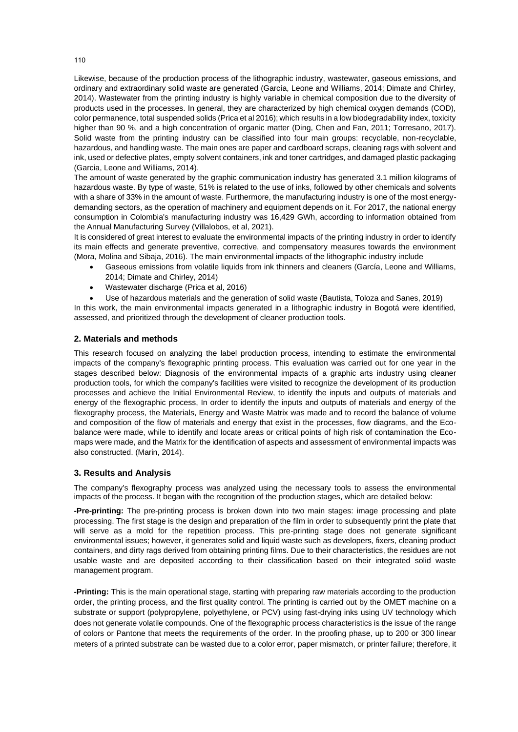Likewise, because of the production process of the lithographic industry, wastewater, gaseous emissions, and ordinary and extraordinary solid waste are generated (García, Leone and Williams, 2014; Dimate and Chirley, 2014). Wastewater from the printing industry is highly variable in chemical composition due to the diversity of products used in the processes. In general, they are characterized by high chemical oxygen demands (COD), color permanence, total suspended solids (Prica et al 2016); which results in a low biodegradability index, toxicity higher than 90 %, and a high concentration of organic matter (Ding, Chen and Fan, 2011; Torresano, 2017). Solid waste from the printing industry can be classified into four main groups: recyclable, non-recyclable, hazardous, and handling waste. The main ones are paper and cardboard scraps, cleaning rags with solvent and ink, used or defective plates, empty solvent containers, ink and toner cartridges, and damaged plastic packaging (Garcia, Leone and Williams, 2014).

The amount of waste generated by the graphic communication industry has generated 3.1 million kilograms of hazardous waste. By type of waste, 51% is related to the use of inks, followed by other chemicals and solvents with a share of 33% in the amount of waste. Furthermore, the manufacturing industry is one of the most energydemanding sectors, as the operation of machinery and equipment depends on it. For 2017, the national energy consumption in Colombia's manufacturing industry was 16,429 GWh, according to information obtained from the Annual Manufacturing Survey (Villalobos, et al, 2021).

It is considered of great interest to evaluate the environmental impacts of the printing industry in order to identify its main effects and generate preventive, corrective, and compensatory measures towards the environment (Mora, Molina and Sibaja, 2016). The main environmental impacts of the lithographic industry include

- Gaseous emissions from volatile liquids from ink thinners and cleaners (García, Leone and Williams, 2014; Dimate and Chirley, 2014)
- Wastewater discharge (Prica et al, 2016)
- Use of hazardous materials and the generation of solid waste (Bautista, Toloza and Sanes, 2019)

In this work, the main environmental impacts generated in a lithographic industry in Bogotá were identified, assessed, and prioritized through the development of cleaner production tools.

## **2. Materials and methods**

This research focused on analyzing the label production process, intending to estimate the environmental impacts of the company's flexographic printing process. This evaluation was carried out for one year in the stages described below: Diagnosis of the environmental impacts of a graphic arts industry using cleaner production tools, for which the company's facilities were visited to recognize the development of its production processes and achieve the Initial Environmental Review, to identify the inputs and outputs of materials and energy of the flexographic process, In order to identify the inputs and outputs of materials and energy of the flexography process, the Materials, Energy and Waste Matrix was made and to record the balance of volume and composition of the flow of materials and energy that exist in the processes, flow diagrams, and the Ecobalance were made, while to identify and locate areas or critical points of high risk of contamination the Ecomaps were made, and the Matrix for the identification of aspects and assessment of environmental impacts was also constructed. (Marin, 2014).

#### **3. Results and Analysis**

The company's flexography process was analyzed using the necessary tools to assess the environmental impacts of the process. It began with the recognition of the production stages, which are detailed below:

**-Pre-printing:** The pre-printing process is broken down into two main stages: image processing and plate processing. The first stage is the design and preparation of the film in order to subsequently print the plate that will serve as a mold for the repetition process. This pre-printing stage does not generate significant environmental issues; however, it generates solid and liquid waste such as developers, fixers, cleaning product containers, and dirty rags derived from obtaining printing films. Due to their characteristics, the residues are not usable waste and are deposited according to their classification based on their integrated solid waste management program.

**-Printing:** This is the main operational stage, starting with preparing raw materials according to the production order, the printing process, and the first quality control. The printing is carried out by the OMET machine on a substrate or support (polypropylene, polyethylene, or PCV) using fast-drying inks using UV technology which does not generate volatile compounds. One of the flexographic process characteristics is the issue of the range of colors or Pantone that meets the requirements of the order. In the proofing phase, up to 200 or 300 linear meters of a printed substrate can be wasted due to a color error, paper mismatch, or printer failure; therefore, it

110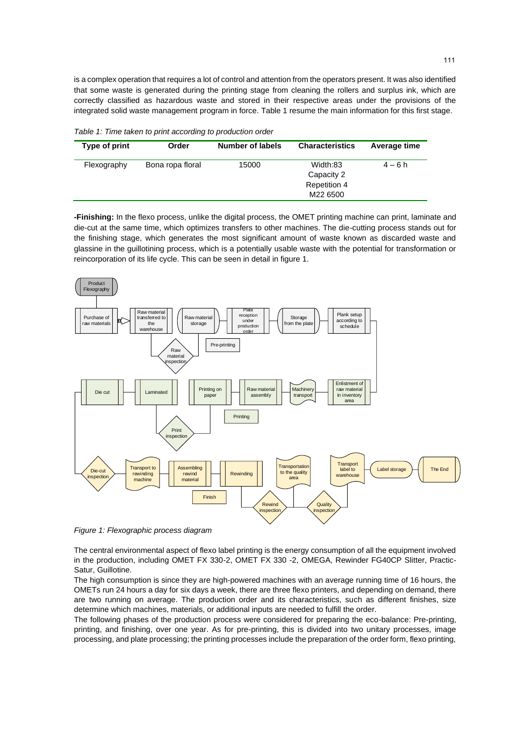is a complex operation that requires a lot of control and attention from the operators present. It was also identified that some waste is generated during the printing stage from cleaning the rollers and surplus ink, which are correctly classified as hazardous waste and stored in their respective areas under the provisions of the integrated solid waste management program in force. Table 1 resume the main information for this first stage.

*Table 1: Time taken to print according to production order*

| Type of print | Order            | <b>Number of labels</b> | <b>Characteristics</b>                                    | Average time |
|---------------|------------------|-------------------------|-----------------------------------------------------------|--------------|
| Flexography   | Bona ropa floral | 15000                   | Width:83<br>Capacity 2<br><b>Repetition 4</b><br>M22 6500 | $4 - 6 h$    |

**-Finishing:** In the flexo process, unlike the digital process, the OMET printing machine can print, laminate and die-cut at the same time, which optimizes transfers to other machines. The die-cutting process stands out for the finishing stage, which generates the most significant amount of waste known as discarded waste and glassine in the guillotining process, which is a potentially usable waste with the potential for transformation or reincorporation of its life cycle. This can be seen in detail in figure 1.



*Figure 1: Flexographic process diagram*

The central environmental aspect of flexo label printing is the energy consumption of all the equipment involved in the production, including OMET FX 330-2, OMET FX 330 -2, OMEGA, Rewinder FG40CP Slitter, Practic-Satur, Guillotine.

The high consumption is since they are high-powered machines with an average running time of 16 hours, the OMETs run 24 hours a day for six days a week, there are three flexo printers, and depending on demand, there are two running on average. The production order and its characteristics, such as different finishes, size determine which machines, materials, or additional inputs are needed to fulfill the order.

The following phases of the production process were considered for preparing the eco-balance: Pre-printing, printing, and finishing, over one year. As for pre-printing, this is divided into two unitary processes, image processing, and plate processing; the printing processes include the preparation of the order form, flexo printing,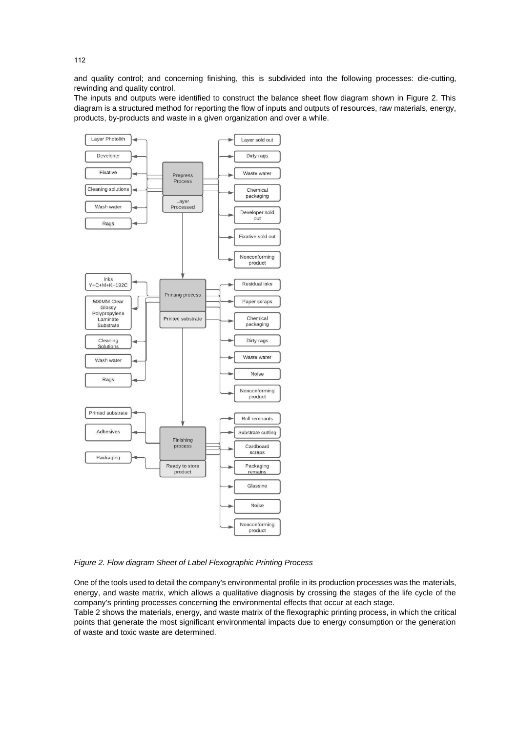and quality control; and concerning finishing, this is subdivided into the following processes: die-cutting, rewinding and quality control.

The inputs and outputs were identified to construct the balance sheet flow diagram shown in Figure 2. This diagram is a structured method for reporting the flow of inputs and outputs of resources, raw materials, energy, products, by-products and waste in a given organization and over a while.



*Figure 2. Flow diagram Sheet of Label Flexographic Printing Process*

One of the tools used to detail the company's environmental profile in its production processes was the materials, energy, and waste matrix, which allows a qualitative diagnosis by crossing the stages of the life cycle of the company's printing processes concerning the environmental effects that occur at each stage.

Table 2 shows the materials, energy, and waste matrix of the flexographic printing process, in which the critical points that generate the most significant environmental impacts due to energy consumption or the generation of waste and toxic waste are determined.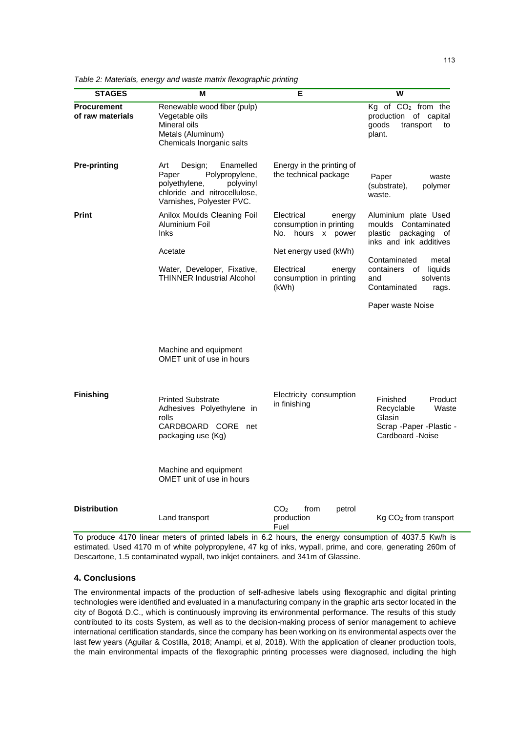| <b>STAGES</b>                          | М                                                                                                                                                 | Е                                                                                 | W                                                                                                     |
|----------------------------------------|---------------------------------------------------------------------------------------------------------------------------------------------------|-----------------------------------------------------------------------------------|-------------------------------------------------------------------------------------------------------|
| <b>Procurement</b><br>of raw materials | Renewable wood fiber (pulp)<br>Vegetable oils<br>Mineral oils<br>Metals (Aluminum)<br>Chemicals Inorganic salts                                   |                                                                                   | $Kg$ of $CO2$ from the<br>production of capital<br>goods<br>transport<br>to<br>plant.                 |
| <b>Pre-printing</b>                    | Art<br>Enamelled<br>Design;<br>Paper<br>Polypropylene,<br>polyethylene,<br>polyvinyl<br>chloride and nitrocellulose,<br>Varnishes, Polyester PVC. | Energy in the printing of<br>the technical package                                | Paper<br>waste<br>(substrate),<br>polymer<br>waste.                                                   |
| <b>Print</b>                           | Anilox Moulds Cleaning Foil<br>Aluminium Foil<br><b>Inks</b>                                                                                      | Electrical<br>energy<br>consumption in printing<br>No. hours x power              | Aluminium plate Used<br>moulds Contaminated<br>plastic<br>packaging of<br>inks and ink additives      |
|                                        | Acetate<br>Water, Developer, Fixative,<br><b>THINNER Industrial Alcohol</b>                                                                       | Net energy used (kWh)<br>Electrical<br>energy<br>consumption in printing<br>(kWh) | Contaminated<br>metal<br>containers of liquids<br>solvents<br>and<br>Contaminated<br>rags.            |
|                                        |                                                                                                                                                   |                                                                                   | Paper waste Noise                                                                                     |
|                                        | Machine and equipment<br>OMET unit of use in hours                                                                                                |                                                                                   |                                                                                                       |
| <b>Finishing</b>                       | <b>Printed Substrate</b><br>Adhesives Polyethylene in<br>rolls<br>CARDBOARD CORE net<br>packaging use (Kg)                                        | Electricity consumption<br>in finishing                                           | Finished<br>Product<br>Recyclable<br>Waste<br>Glasin<br>Scrap - Paper - Plastic -<br>Cardboard -Noise |
|                                        | Machine and equipment<br>OMET unit of use in hours                                                                                                |                                                                                   |                                                                                                       |
| <b>Distribution</b>                    | Land transport                                                                                                                                    | CO <sub>2</sub><br>from<br>petrol<br>production<br>Fuel                           | $Kg$ CO <sub>2</sub> from transport                                                                   |

*Table 2: Materials, energy and waste matrix flexographic printing*

To produce 4170 linear meters of printed labels in 6.2 hours, the energy consumption of 4037.5 Kw/h is estimated. Used 4170 m of white polypropylene, 47 kg of inks, wypall, prime, and core, generating 260m of Descartone, 1.5 contaminated wypall, two inkjet containers, and 341m of Glassine.

## **4. Conclusions**

The environmental impacts of the production of self-adhesive labels using flexographic and digital printing technologies were identified and evaluated in a manufacturing company in the graphic arts sector located in the city of Bogotá D.C., which is continuously improving its environmental performance. The results of this study contributed to its costs System, as well as to the decision-making process of senior management to achieve international certification standards, since the company has been working on its environmental aspects over the last few years (Aguilar & Costilla, 2018; Anampi, et al, 2018). With the application of cleaner production tools, the main environmental impacts of the flexographic printing processes were diagnosed, including the high